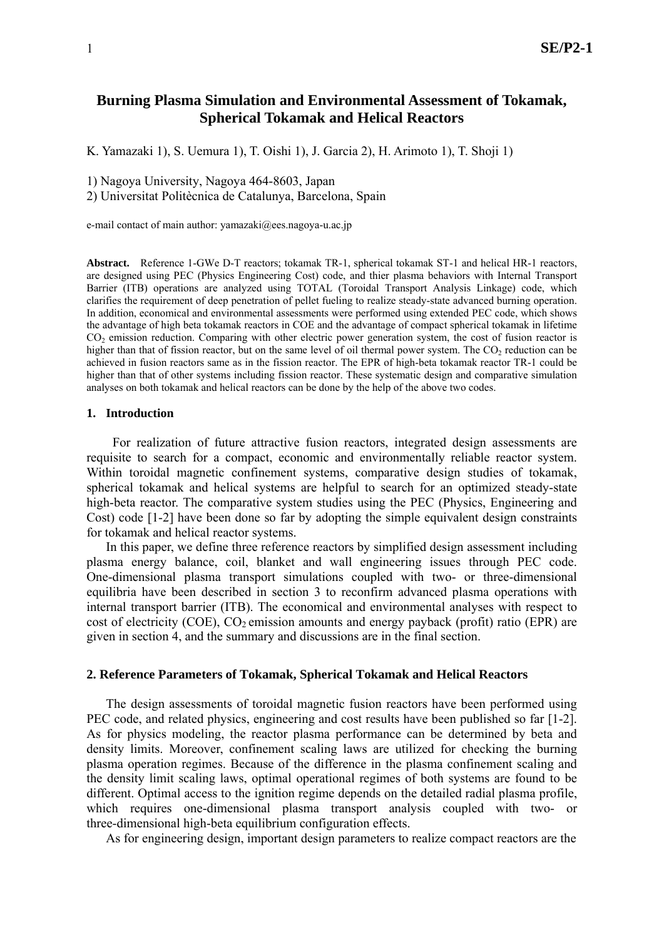# **Burning Plasma Simulation and Environmental Assessment of Tokamak, Spherical Tokamak and Helical Reactors**

K. Yamazaki 1), S. Uemura 1), T. Oishi 1), J. Garcia 2), H. Arimoto 1), T. Shoji 1)

1) Nagoya University, Nagoya 464-8603, Japan

2) Universitat Politècnica de Catalunya, Barcelona, Spain

e-mail contact of main author: yamazaki@ees.nagoya-u.ac.jp

**Abstract.** Reference 1-GWe D-T reactors; tokamak TR-1, spherical tokamak ST-1 and helical HR-1 reactors, are designed using PEC (Physics Engineering Cost) code, and thier plasma behaviors with Internal Transport Barrier (ITB) operations are analyzed using TOTAL (Toroidal Transport Analysis Linkage) code, which clarifies the requirement of deep penetration of pellet fueling to realize steady-state advanced burning operation. In addition, economical and environmental assessments were performed using extended PEC code, which shows the advantage of high beta tokamak reactors in COE and the advantage of compact spherical tokamak in lifetime CO<sub>2</sub> emission reduction. Comparing with other electric power generation system, the cost of fusion reactor is higher than that of fission reactor, but on the same level of oil thermal power system. The  $CO<sub>2</sub>$  reduction can be achieved in fusion reactors same as in the fission reactor. The EPR of high-beta tokamak reactor TR-1 could be higher than that of other systems including fission reactor. These systematic design and comparative simulation analyses on both tokamak and helical reactors can be done by the help of the above two codes.

### **1. Introduction**

For realization of future attractive fusion reactors, integrated design assessments are requisite to search for a compact, economic and environmentally reliable reactor system. Within toroidal magnetic confinement systems, comparative design studies of tokamak, spherical tokamak and helical systems are helpful to search for an optimized steady-state high-beta reactor. The comparative system studies using the PEC (Physics, Engineering and Cost) code [1-2] have been done so far by adopting the simple equivalent design constraints for tokamak and helical reactor systems.

In this paper, we define three reference reactors by simplified design assessment including plasma energy balance, coil, blanket and wall engineering issues through PEC code. One-dimensional plasma transport simulations coupled with two- or three-dimensional equilibria have been described in section 3 to reconfirm advanced plasma operations with internal transport barrier (ITB). The economical and environmental analyses with respect to cost of electricity (COE),  $CO<sub>2</sub>$  emission amounts and energy payback (profit) ratio (EPR) are given in section 4, and the summary and discussions are in the final section.

#### **2. Reference Parameters of Tokamak, Spherical Tokamak and Helical Reactors**

The design assessments of toroidal magnetic fusion reactors have been performed using PEC code, and related physics, engineering and cost results have been published so far [1-2]. As for physics modeling, the reactor plasma performance can be determined by beta and density limits. Moreover, confinement scaling laws are utilized for checking the burning plasma operation regimes. Because of the difference in the plasma confinement scaling and the density limit scaling laws, optimal operational regimes of both systems are found to be different. Optimal access to the ignition regime depends on the detailed radial plasma profile, which requires one-dimensional plasma transport analysis coupled with two- or three-dimensional high-beta equilibrium configuration effects.

As for engineering design, important design parameters to realize compact reactors are the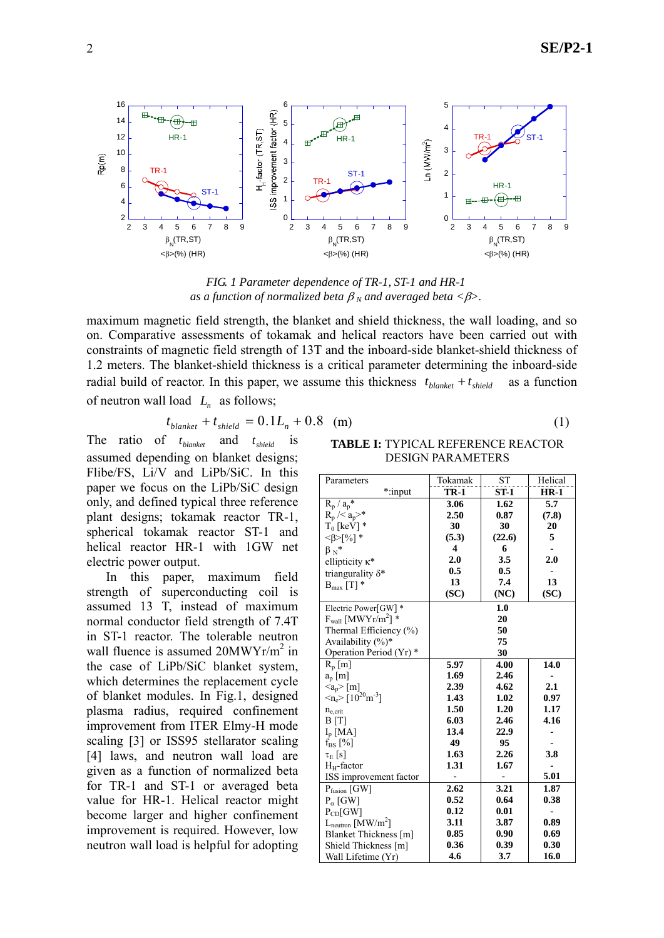

*FIG. 1 Parameter dependence of TR-1, ST-1 and HR-1 as a function of normalized beta*  $\beta_N$  *and averaged beta* < $\beta$ >.

maximum magnetic field strength, the blanket and shield thickness, the wall loading, and so on. Comparative assessments of tokamak and helical reactors have been carried out with constraints of magnetic field strength of 13T and the inboard-side blanket-shield thickness of 1.2 meters. The blanket-shield thickness is a critical parameter determining the inboard-side radial build of reactor. In this paper, we assume this thickness  $t_{blanket} + t_{shield}$  as a function of neutron wall load  $L_n$  as follows;

$$
t_{\text{blanket}} + t_{\text{shield}} = 0.1L_n + 0.8 \quad \text{(m)} \tag{1}
$$

The ratio of  $t_{\text{blanket}}$  and  $t_{\text{shield}}$  is assumed depending on blanket designs; Flibe/FS, Li/V and LiPb/SiC. In this paper we focus on the LiPb/SiC design only, and defined typical three reference plant designs; tokamak reactor TR-1, spherical tokamak reactor ST-1 and helical reactor HR-1 with 1GW net electric power output.

In this paper, maximum field strength of superconducting coil is assumed 13 T, instead of maximum normal conductor field strength of 7.4T in ST-1 reactor. The tolerable neutron wall fluence is assumed 20MWYr/m<sup>2</sup> in the case of LiPb/SiC blanket system, which determines the replacement cycle of blanket modules. In Fig.1, designed plasma radius, required confinement improvement from ITER Elmy-H mode scaling [3] or ISS95 stellarator scaling [4] laws, and neutron wall load are given as a function of normalized beta for TR-1 and ST-1 or averaged beta value for HR-1. Helical reactor might become larger and higher confinement improvement is required. However, low neutron wall load is helpful for adopting

**TABLE I:** TYPICAL REFERENCE REACTOR DESIGN PARAMETERS

| Parameters                                                      | Tokamak     | SТ     | Helical |
|-----------------------------------------------------------------|-------------|--------|---------|
| *:input                                                         | <b>TR-1</b> | ST-1   | $HR-1$  |
| $R_p/a_p^*$                                                     | 3.06        | 1.62   | 5.7     |
| $R_p \, \frac{\text{K}}{\text{s}} \, \frac{\text{K}}{\text{s}}$ | 2.50        | 0.87   | (7.8)   |
| $T_0$ [keV] $*$                                                 | 30          | 30     | 20      |
| $<\beta>$ [%] *                                                 | (5.3)       | (22.6) | 5       |
| $\beta_N^*$                                                     | 4           | 6      |         |
| ellipticity $\kappa^*$                                          | 2.0         | 3.5    | 2.0     |
| triangurality $\delta^*$                                        | 0.5         | 0.5    |         |
| $B_{\text{max}}$ [T] *                                          | 13          | 7.4    | 13      |
|                                                                 | (SC)        | (NC)   | (SC)    |
| Electric Power[GW]*                                             |             | 1.0    |         |
| $F_{wall}$ [MWYr/m <sup>2</sup> ] *                             | 20          |        |         |
| Thermal Efficiency (%)                                          | 50          |        |         |
| Availability $(\%)^*$                                           | 75          |        |         |
| Operation Period (Yr) *                                         | 30          |        |         |
| $R_p[m]$                                                        | 5.97        | 4.00   | 14.0    |
| $a_p$ [m]                                                       | 1.69        | 2.46   |         |
| $\langle a_p \rangle$ [m]                                       | 2.39        | 4.62   | 2.1     |
| $\langle n_e \rangle$ [10 <sup>20</sup> m <sup>-3</sup> ]       | 1.43        | 1.02   | 0.97    |
| $n_{e,crit}$                                                    | 1.50        | 1.20   | 1.17    |
| B[T]                                                            | 6.03        | 2.46   | 4.16    |
| $I_p$ [MA]                                                      | 13.4        | 22.9   |         |
| $f_{BS}$ [%]                                                    | 49          | 95     |         |
| $\tau_E$ [s]                                                    | 1.63        | 2.26   | 3.8     |
| $H_H$ -factor                                                   | 1.31        | 1.67   |         |
| ISS improvement factor                                          |             |        | 5.01    |
| $P_{fusion}$ [GW]                                               | 2.62        | 3.21   | 1.87    |
| $P_{\alpha}$ [GW]                                               | 0.52        | 0.64   | 0.38    |
| $P_{CD}$ [GW]                                                   | 0.12        | 0.01   |         |
| $L_{\text{neutron}}$ [MW/m <sup>2</sup> ]                       | 3.11        | 3.87   | 0.89    |
| Blanket Thickness [m]                                           | 0.85        | 0.90   | 0.69    |
| Shield Thickness [m]                                            | 0.36        | 0.39   | 0.30    |
| Wall Lifetime (Yr)                                              | 4.6         | 3.7    | 16.0    |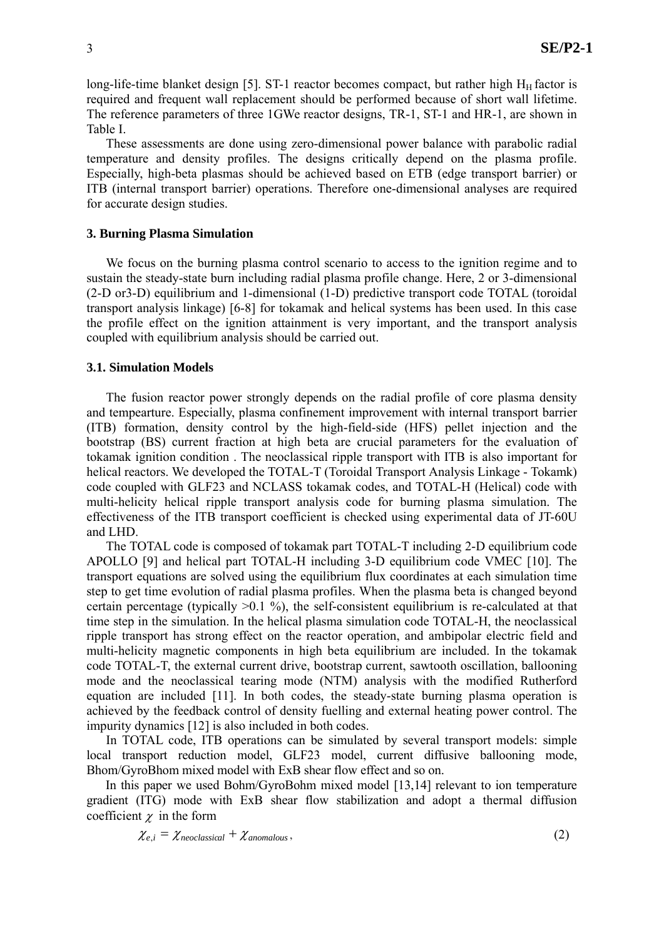long-life-time blanket design [5]. ST-1 reactor becomes compact, but rather high  $H_H$  factor is required and frequent wall replacement should be performed because of short wall lifetime. The reference parameters of three 1GWe reactor designs, TR-1, ST-1 and HR-1, are shown in Table I.

These assessments are done using zero-dimensional power balance with parabolic radial temperature and density profiles. The designs critically depend on the plasma profile. Especially, high-beta plasmas should be achieved based on ETB (edge transport barrier) or ITB (internal transport barrier) operations. Therefore one-dimensional analyses are required for accurate design studies.

## **3. Burning Plasma Simulation**

We focus on the burning plasma control scenario to access to the ignition regime and to sustain the steady-state burn including radial plasma profile change. Here, 2 or 3-dimensional (2-D or3-D) equilibrium and 1-dimensional (1-D) predictive transport code TOTAL (toroidal transport analysis linkage) [6-8] for tokamak and helical systems has been used. In this case the profile effect on the ignition attainment is very important, and the transport analysis coupled with equilibrium analysis should be carried out.

### **3.1. Simulation Models**

The fusion reactor power strongly depends on the radial profile of core plasma density and tempearture. Especially, plasma confinement improvement with internal transport barrier (ITB) formation, density control by the high-field-side (HFS) pellet injection and the bootstrap (BS) current fraction at high beta are crucial parameters for the evaluation of tokamak ignition condition . The neoclassical ripple transport with ITB is also important for helical reactors. We developed the TOTAL-T (Toroidal Transport Analysis Linkage - Tokamk) code coupled with GLF23 and NCLASS tokamak codes, and TOTAL-H (Helical) code with multi-helicity helical ripple transport analysis code for burning plasma simulation. The effectiveness of the ITB transport coefficient is checked using experimental data of JT-60U and LHD.

The TOTAL code is composed of tokamak part TOTAL-T including 2-D equilibrium code APOLLO [9] and helical part TOTAL-H including 3-D equilibrium code VMEC [10]. The transport equations are solved using the equilibrium flux coordinates at each simulation time step to get time evolution of radial plasma profiles. When the plasma beta is changed beyond certain percentage (typically  $>0.1\%$ ), the self-consistent equilibrium is re-calculated at that time step in the simulation. In the helical plasma simulation code TOTAL-H, the neoclassical ripple transport has strong effect on the reactor operation, and ambipolar electric field and multi-helicity magnetic components in high beta equilibrium are included. In the tokamak code TOTAL-T, the external current drive, bootstrap current, sawtooth oscillation, ballooning mode and the neoclassical tearing mode (NTM) analysis with the modified Rutherford equation are included [11]. In both codes, the steady-state burning plasma operation is achieved by the feedback control of density fuelling and external heating power control. The impurity dynamics [12] is also included in both codes.

In TOTAL code, ITB operations can be simulated by several transport models: simple local transport reduction model, GLF23 model, current diffusive ballooning mode, Bhom/GyroBhom mixed model with ExB shear flow effect and so on.

In this paper we used Bohm/GyroBohm mixed model [13,14] relevant to ion temperature gradient (ITG) mode with ExB shear flow stabilization and adopt a thermal diffusion coefficient  $\gamma$  in the form

$$
\chi_{e,i} = \chi_{\text{neoclassical}} + \chi_{\text{anomalous}},\tag{2}
$$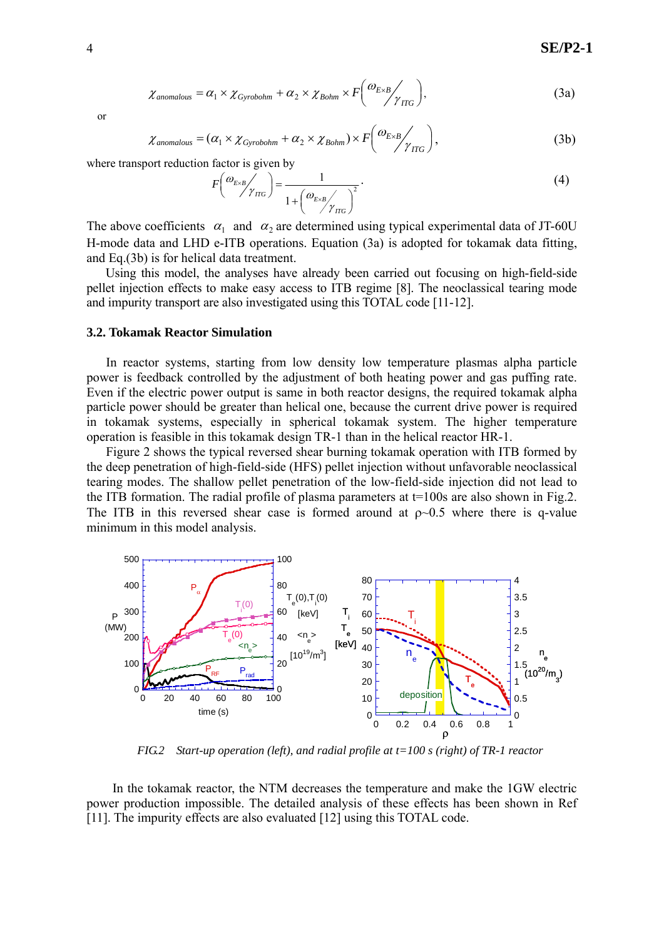$$
\chi_{\text{anomalous}} = \alpha_1 \times \chi_{\text{Gyrobohm}} + \alpha_2 \times \chi_{\text{Bohm}} \times F\left(\frac{\omega_{E \times B}}{\gamma_{\text{ITG}}}\right),\tag{3a}
$$

or

$$
\chi_{\text{anomalous}} = (\alpha_1 \times \chi_{\text{Gyrobohm}} + \alpha_2 \times \chi_{\text{Bohm}}) \times F\left(\frac{\omega_{E \times B}}{\gamma_{\text{ITG}}}\right),\tag{3b}
$$

where transport reduction factor is given by

$$
F\left(\frac{\omega_{E\times B}}{\gamma_{TIG}}\right) = \frac{1}{1 + \left(\frac{\omega_{E\times B}}{\gamma_{TIG}}\right)^2}.
$$
\n(4)

The above coefficients  $\alpha_1$  and  $\alpha_2$  are determined using typical experimental data of JT-60U H-mode data and LHD e-ITB operations. Equation (3a) is adopted for tokamak data fitting, and Eq.(3b) is for helical data treatment.

Using this model, the analyses have already been carried out focusing on high-field-side pellet injection effects to make easy access to ITB regime [8]. The neoclassical tearing mode and impurity transport are also investigated using this TOTAL code [11-12].

### **3.2. Tokamak Reactor Simulation**

In reactor systems, starting from low density low temperature plasmas alpha particle power is feedback controlled by the adjustment of both heating power and gas puffing rate. Even if the electric power output is same in both reactor designs, the required tokamak alpha particle power should be greater than helical one, because the current drive power is required in tokamak systems, especially in spherical tokamak system. The higher temperature operation is feasible in this tokamak design TR-1 than in the helical reactor HR-1.

Figure 2 shows the typical reversed shear burning tokamak operation with ITB formed by the deep penetration of high-field-side (HFS) pellet injection without unfavorable neoclassical tearing modes. The shallow pellet penetration of the low-field-side injection did not lead to the ITB formation. The radial profile of plasma parameters at  $t=100s$  are also shown in Fig.2. The ITB in this reversed shear case is formed around at  $\rho \sim 0.5$  where there is q-value minimum in this model analysis.



*FIG.2 Start-up operation (left), and radial profile at t=100 s (right) of TR-1 reactor* 

In the tokamak reactor, the NTM decreases the temperature and make the 1GW electric power production impossible. The detailed analysis of these effects has been shown in Ref [11]. The impurity effects are also evaluated [12] using this TOTAL code.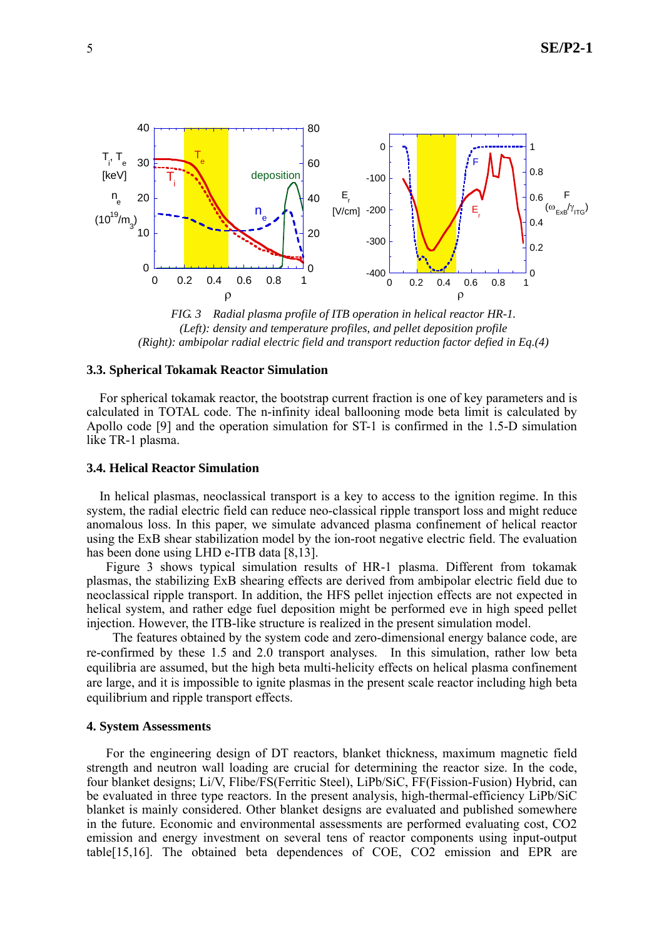

*FIG. 3 Radial plasma profile of ITB operation in helical reactor HR-1. (Left): density and temperature profiles, and pellet deposition profile (Right): ambipolar radial electric field and transport reduction factor defied in Eq.(4)* 

## **3.3. Spherical Tokamak Reactor Simulation**

 For spherical tokamak reactor, the bootstrap current fraction is one of key parameters and is calculated in TOTAL code. The n-infinity ideal ballooning mode beta limit is calculated by Apollo code [9] and the operation simulation for ST-1 is confirmed in the 1.5-D simulation like TR-1 plasma.

## **3.4. Helical Reactor Simulation**

 In helical plasmas, neoclassical transport is a key to access to the ignition regime. In this system, the radial electric field can reduce neo-classical ripple transport loss and might reduce anomalous loss. In this paper, we simulate advanced plasma confinement of helical reactor using the ExB shear stabilization model by the ion-root negative electric field. The evaluation has been done using LHD e-ITB data [8,13].

 Figure 3 shows typical simulation results of HR-1 plasma. Different from tokamak plasmas, the stabilizing ExB shearing effects are derived from ambipolar electric field due to neoclassical ripple transport. In addition, the HFS pellet injection effects are not expected in helical system, and rather edge fuel deposition might be performed eve in high speed pellet injection. However, the ITB-like structure is realized in the present simulation model.

The features obtained by the system code and zero-dimensional energy balance code, are re-confirmed by these 1.5 and 2.0 transport analyses. In this simulation, rather low beta equilibria are assumed, but the high beta multi-helicity effects on helical plasma confinement are large, and it is impossible to ignite plasmas in the present scale reactor including high beta equilibrium and ripple transport effects.

## **4. System Assessments**

For the engineering design of DT reactors, blanket thickness, maximum magnetic field strength and neutron wall loading are crucial for determining the reactor size. In the code, four blanket designs; Li/V, Flibe/FS(Ferritic Steel), LiPb/SiC, FF(Fission-Fusion) Hybrid, can be evaluated in three type reactors. In the present analysis, high-thermal-efficiency LiPb/SiC blanket is mainly considered. Other blanket designs are evaluated and published somewhere in the future. Economic and environmental assessments are performed evaluating cost, CO2 emission and energy investment on several tens of reactor components using input-output table[15,16]. The obtained beta dependences of COE, CO2 emission and EPR are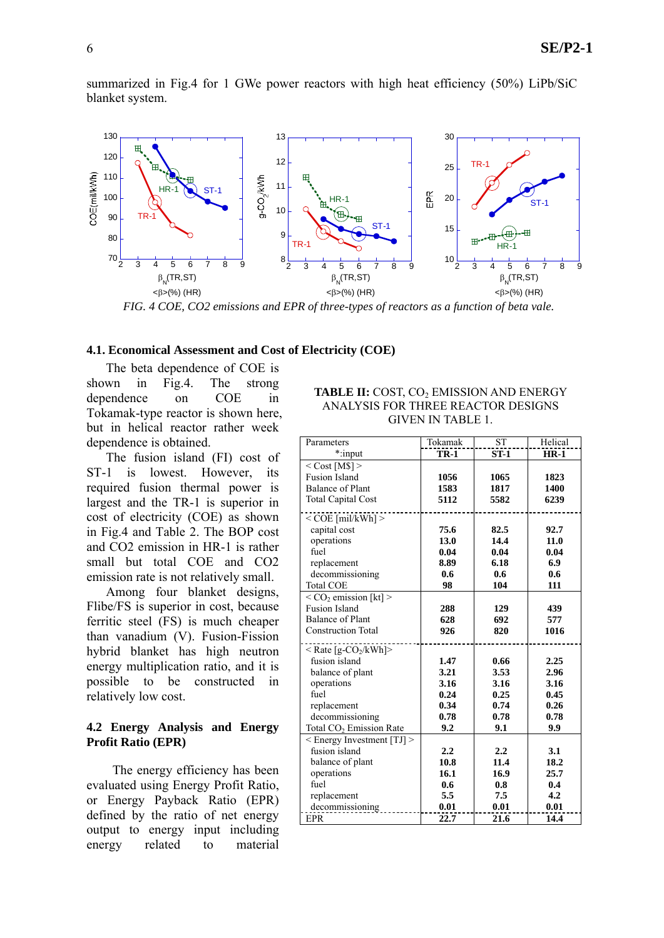summarized in Fig.4 for 1 GWe power reactors with high heat efficiency (50%) LiPb/SiC blanket system.



*FIG. 4 COE, CO2 emissions and EPR of three-types of reactors as a function of beta vale.* 

#### **4.1. Economical Assessment and Cost of Electricity (COE)**

The beta dependence of COE is shown in Fig.4. The strong dependence on COE in Tokamak-type reactor is shown here, but in helical reactor rather week dependence is obtained.

The fusion island (FI) cost of ST-1 is lowest. However, its required fusion thermal power is largest and the TR-1 is superior in cost of electricity (COE) as shown in Fig.4 and Table 2. The BOP cost and CO2 emission in HR-1 is rather small but total COE and CO2 emission rate is not relatively small.

Among four blanket designs, Flibe/FS is superior in cost, because ferritic steel (FS) is much cheaper than vanadium (V). Fusion-Fission hybrid blanket has high neutron energy multiplication ratio, and it is possible to be constructed in relatively low cost.

## **4.2 Energy Analysis and Energy Profit Ratio (EPR)**

 The energy efficiency has been evaluated using Energy Profit Ratio, or Energy Payback Ratio (EPR) defined by the ratio of net energy output to energy input including energy related to material

## **TABLE II:** COST, CO<sub>2</sub> EMISSION AND ENERGY ANALYSIS FOR THREE REACTOR DESIGNS GIVEN IN TABLE 1.

| Parameters                                     | Tokamak     | <b>ST</b> | Helical |
|------------------------------------------------|-------------|-----------|---------|
| *:input                                        | <b>TR-1</b> | $ST-1$    | $HR-1$  |
| $<$ Cost [M\$] $>$                             |             |           |         |
| <b>Fusion Island</b>                           | 1056        | 1065      | 1823    |
| <b>Balance of Plant</b>                        | 1583        | 1817      | 1400    |
| <b>Total Capital Cost</b>                      | 5112        | 5582      | 6239    |
| $<$ COE [mil/kWh] $>$                          |             |           |         |
| capital cost                                   | 75.6        | 82.5      | 92.7    |
| operations                                     | 13.0        | 14.4      | 11.0    |
| fuel                                           | 0.04        | 0.04      | 0.04    |
| replacement                                    | 8.89        | 6.18      | 6.9     |
| decommissioning                                | 0.6         | 0.6       | 0.6     |
| <b>Total COE</b>                               | 98          | 104       | 111     |
| $\overline{<}$ CO <sub>2</sub> emission [kt] > |             |           |         |
| <b>Fusion Island</b>                           | 288         | 129       | 439     |
| <b>Balance of Plant</b>                        | 628         | 692       | 577     |
| <b>Construction Total</b>                      | 926         | 820       | 1016    |
|                                                |             |           |         |
| $<$ Rate [g-CO <sub>2</sub> /kWh]>             |             |           |         |
| fusion island                                  | 1.47        | 0.66      | 2.25    |
| balance of plant                               | 3.21        | 3.53      | 2.96    |
| operations                                     | 3.16        | 3.16      | 3.16    |
| fuel                                           | 0.24        | 0.25      | 0.45    |
| replacement                                    | 0.34        | 0.74      | 0.26    |
| decommissioning                                | 0.78        | 0.78      | 0.78    |
| Total CO <sub>2</sub> Emission Rate            | 9.2         | 9.1       | 9.9     |
| $\leq$ Energy Investment [TJ] $\geq$           |             |           |         |
| fusion island                                  | 2.2         | 2.2       | 3.1     |
| balance of plant                               | 10.8        | 11.4      | 18.2    |
| operations                                     | 16.1        | 16.9      | 25.7    |
| fuel                                           | 0.6         | 0.8       | 0.4     |
| replacement                                    | 5.5         | 7.5       | 4.2     |
| decommissioning                                | 0.01        | 0.01      | 0.01    |
| <b>EPR</b>                                     | 22.7        | 21.6      | 14.4    |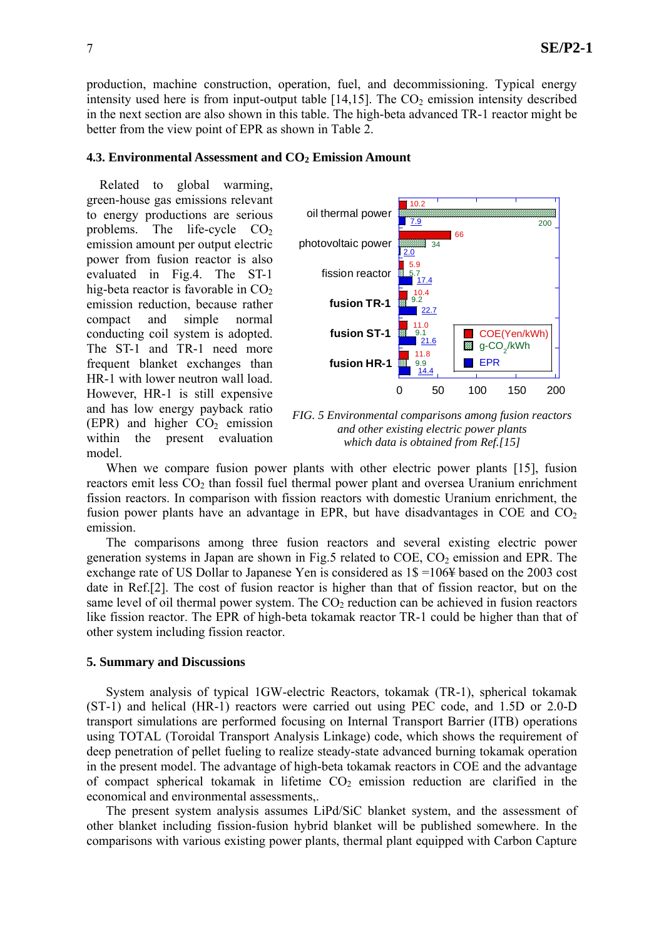production, machine construction, operation, fuel, and decommissioning. Typical energy intensity used here is from input-output table  $[14,15]$ . The  $CO<sub>2</sub>$  emission intensity described in the next section are also shown in this table. The high-beta advanced TR-1 reactor might be better from the view point of EPR as shown in Table 2.

### **4.3. Environmental Assessment and CO<sub>2</sub> Emission Amount**

 Related to global warming, green-house gas emissions relevant to energy productions are serious problems. The life-cycle  $CO<sub>2</sub>$ emission amount per output electric power from fusion reactor is also evaluated in Fig.4. The ST-1 hig-beta reactor is favorable in  $CO<sub>2</sub>$ emission reduction, because rather compact and simple normal conducting coil system is adopted. The ST-1 and TR-1 need more frequent blanket exchanges than HR-1 with lower neutron wall load. However, HR-1 is still expensive and has low energy payback ratio (EPR) and higher  $CO<sub>2</sub>$  emission within the present evaluation model.



*FIG. 5 Environmental comparisons among fusion reactors and other existing electric power plants which data is obtained from Ref.[15]* 

When we compare fusion power plants with other electric power plants [15], fusion reactors emit less  $CO<sub>2</sub>$  than fossil fuel thermal power plant and oversea Uranium enrichment fission reactors. In comparison with fission reactors with domestic Uranium enrichment, the fusion power plants have an advantage in EPR, but have disadvantages in COE and  $CO<sub>2</sub>$ emission.

The comparisons among three fusion reactors and several existing electric power generation systems in Japan are shown in Fig.5 related to  $COE$ ,  $CO<sub>2</sub>$  emission and EPR. The exchange rate of US Dollar to Japanese Yen is considered as 1\$ =106¥ based on the 2003 cost date in Ref.[2]. The cost of fusion reactor is higher than that of fission reactor, but on the same level of oil thermal power system. The  $CO<sub>2</sub>$  reduction can be achieved in fusion reactors like fission reactor. The EPR of high-beta tokamak reactor TR-1 could be higher than that of other system including fission reactor.

## **5. Summary and Discussions**

System analysis of typical 1GW-electric Reactors, tokamak (TR-1), spherical tokamak (ST-1) and helical (HR-1) reactors were carried out using PEC code, and 1.5D or 2.0-D transport simulations are performed focusing on Internal Transport Barrier (ITB) operations using TOTAL (Toroidal Transport Analysis Linkage) code, which shows the requirement of deep penetration of pellet fueling to realize steady-state advanced burning tokamak operation in the present model. The advantage of high-beta tokamak reactors in COE and the advantage of compact spherical tokamak in lifetime  $CO<sub>2</sub>$  emission reduction are clarified in the economical and environmental assessments,.

The present system analysis assumes LiPd/SiC blanket system, and the assessment of other blanket including fission-fusion hybrid blanket will be published somewhere. In the comparisons with various existing power plants, thermal plant equipped with Carbon Capture